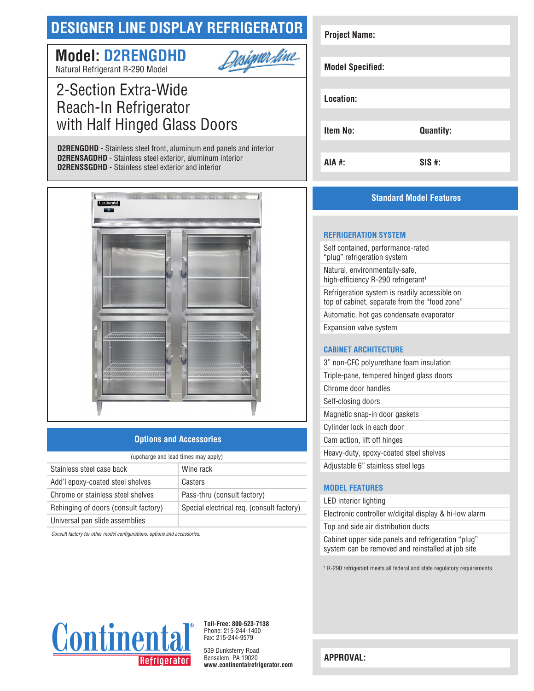# **DESIGNER LINE DISPLAY REFRIGERATOR**

Designer fine

# **Model: D2RENGDHD**



# 2-Section Extra-Wide Reach-In Refrigerator with Half Hinged Glass Doors

**D2RENGDHD** - Stainless steel front, aluminum end panels and interior **D2RENSAGDHD** - Stainless steel exterior, aluminum interior **D2RENSSGDHD** - Stainless steel exterior and interior



## **Options and Accessories**

| (upcharge and lead times may apply)  |                                           |  |
|--------------------------------------|-------------------------------------------|--|
| Stainless steel case back            | Wine rack                                 |  |
| Add'l epoxy-coated steel shelves     | Casters                                   |  |
| Chrome or stainless steel shelves    | Pass-thru (consult factory)               |  |
| Rehinging of doors (consult factory) | Special electrical reg. (consult factory) |  |
| Universal pan slide assemblies       |                                           |  |

*Consult factory for other model configurations, options and accessories.*

| <b>Project Name:</b>    |                  |
|-------------------------|------------------|
|                         |                  |
| <b>Model Specified:</b> |                  |
|                         |                  |
| Location:               |                  |
|                         |                  |
| <b>Item No:</b>         | <b>Quantity:</b> |
|                         |                  |
| <b>AIA #:</b>           | $SIS$ #:         |

# **Standard Model Features**

#### **REFRIGERATION SYSTEM**

Self contained, performance-rated "plug" refrigeration system Natural, environmentally-safe, high-efficiency R-290 refrigerant<sup>1</sup> Refrigeration system is readily accessible on top of cabinet, separate from the "food zone" Automatic, hot gas condensate evaporator Expansion valve system

## **CABINET ARCHITECTURE**

| 3" non-CFC polyurethane foam insulation  |
|------------------------------------------|
| Triple-pane, tempered hinged glass doors |
| Chrome door handles                      |
| Self-closing doors                       |
| Magnetic snap-in door gaskets            |
| Cylinder lock in each door               |
| Cam action, lift off hinges              |
| Heavy-duty, epoxy-coated steel shelves   |
| Adjustable 6" stainless steel legs       |

# **MODEL FEATURES**

#### LED interior lighting

Electronic controller w/digital display & hi-low alarm Top and side air distribution ducts

Cabinet upper side panels and refrigeration "plug" system can be removed and reinstalled at job site

1 R-290 refrigerant meets all federal and state regulatory requirements.



**Toll-Free: 800-523-7138** Phone: 215-244-1400 Fax: 215-244-9579

539 Dunksferry Road Bensalem, PA 19020 **www.continentalrefrigerator.com** 

**APPROVAL:**